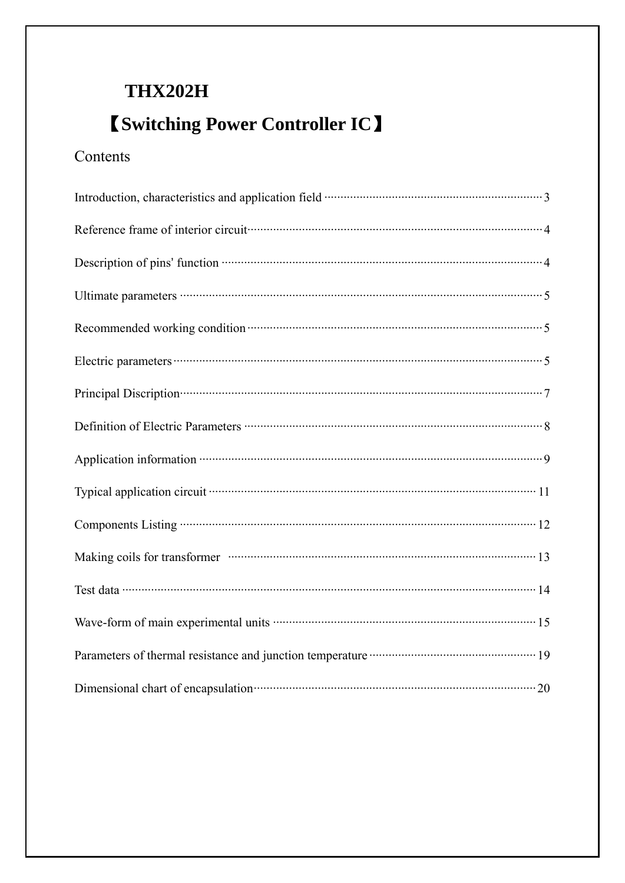# **THX202H**

# **K** Switching Power Controller IC 1

# Contents

| Reference frame of interior circuit contain and the state of the state of interior circuit contains and a state of the state of the state of the state of the state of the state of the state of the state of the state of the       |
|--------------------------------------------------------------------------------------------------------------------------------------------------------------------------------------------------------------------------------------|
| Description of pins' function <b>much constrained</b> and a set of pins' function <b>much constrained</b> and a set of pins'                                                                                                         |
|                                                                                                                                                                                                                                      |
| Recommended working condition <b>contained</b> and the set of the set of the set of the set of the set of the set of the set of the set of the set of the set of the set of the set of the set of the set of the set of the set of   |
|                                                                                                                                                                                                                                      |
| Principal Discription (2003) 7 (2014) 7 (2014) 7 (2015) 7 (2016) 7 (2016) 7 (2016) 7 (2016) 7 (2016) 7 (2016) 7 (2016) 7 (2016) 7 (2016) 7 (2016) 7 (2016) 7 (2016) 7 (2016) 7 (2016) 7 (2016) 7 (2016) 7 (2016) 7 (2016) 7 (2       |
|                                                                                                                                                                                                                                      |
| Application information <b>matter and the contract of the contract of the contract of the contract of the contract of the contract of the contract of the contract of the contract of the contract of the contract of the contra</b> |
|                                                                                                                                                                                                                                      |
|                                                                                                                                                                                                                                      |
|                                                                                                                                                                                                                                      |
|                                                                                                                                                                                                                                      |
|                                                                                                                                                                                                                                      |
| Parameters of thermal resistance and junction temperature <b>mature</b> and the 19                                                                                                                                                   |
| Dimensional chart of encapsulation manuscrittic and all the 20                                                                                                                                                                       |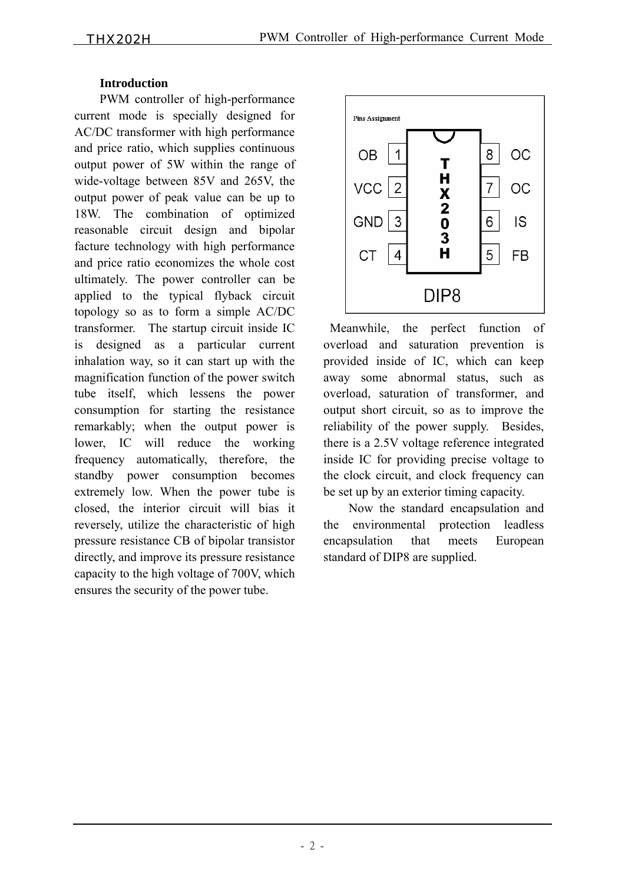#### **Introduction**

PWM controller of high-performance current mode is specially designed for AC/DC transformer with high performance and price ratio, which supplies continuous output power of 5W within the range of wide-voltage between 85V and 265V, the output power of peak value can be up to 18W. The combination of optimized reasonable circuit design and bipolar facture technology with high performance and price ratio economizes the whole cost ultimately. The power controller can be applied to the typical flyback circuit topology so as to form a simple AC/DC transformer. The startup circuit inside IC is designed as a particular current inhalation way, so it can start up with the magnification function of the power switch tube itself, which lessens the power consumption for starting the resistance remarkably; when the output power is lower, IC will reduce the working frequency automatically, therefore, the standby power consumption becomes extremely low. When the power tube is closed, the interior circuit will bias it reversely, utilize the characteristic of high pressure resistance CB of bipolar transistor directly, and improve its pressure resistance capacity to the high voltage of 700V, which ensures the security of the power tube.



 Meanwhile, the perfect function of overload and saturation prevention is provided inside of IC, which can keep away some abnormal status, such as overload, saturation of transformer, and output short circuit, so as to improve the reliability of the power supply. Besides, there is a 2.5V voltage reference integrated inside IC for providing precise voltage to the clock circuit, and clock frequency can be set up by an exterior timing capacity.

Now the standard encapsulation and the environmental protection leadless encapsulation that meets European standard of DIP8 are supplied.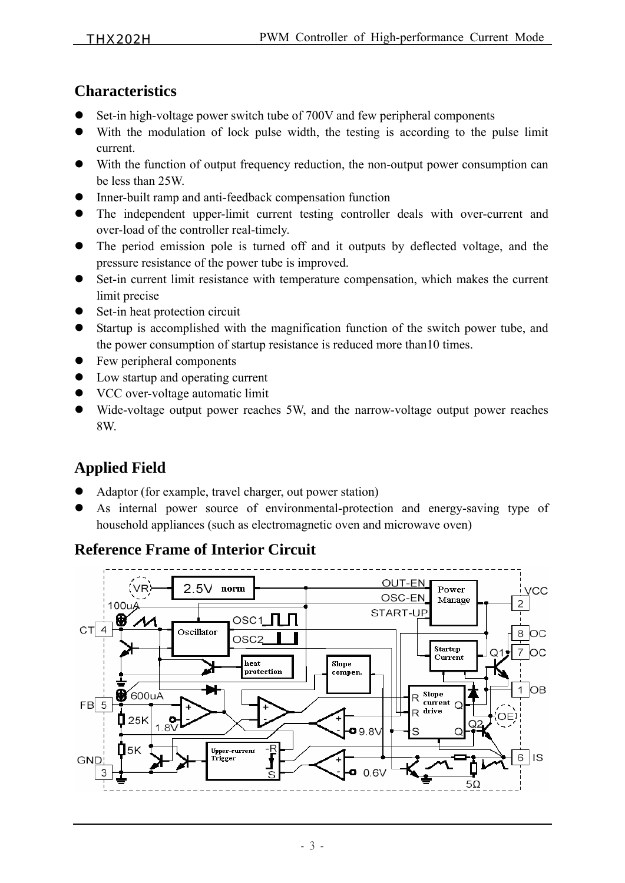## **Characteristics**

- Set-in high-voltage power switch tube of 700V and few peripheral components
- With the modulation of lock pulse width, the testing is according to the pulse limit current.
- With the function of output frequency reduction, the non-output power consumption can be less than 25W.
- Inner-built ramp and anti-feedback compensation function
- The independent upper-limit current testing controller deals with over-current and over-load of the controller real-timely.
- The period emission pole is turned off and it outputs by deflected voltage, and the pressure resistance of the power tube is improved.
- Set-in current limit resistance with temperature compensation, which makes the current limit precise
- Set-in heat protection circuit
- Startup is accomplished with the magnification function of the switch power tube, and the power consumption of startup resistance is reduced more than10 times.
- $\bullet$  Few peripheral components
- $\bullet$  Low startup and operating current
- $\bullet$  VCC over-voltage automatic limit
- Wide-voltage output power reaches 5W, and the narrow-voltage output power reaches 8W.

# **Applied Field**

- Adaptor (for example, travel charger, out power station)
- As internal power source of environmental-protection and energy-saving type of household appliances (such as electromagnetic oven and microwave oven)

## **Reference Frame of Interior Circuit**

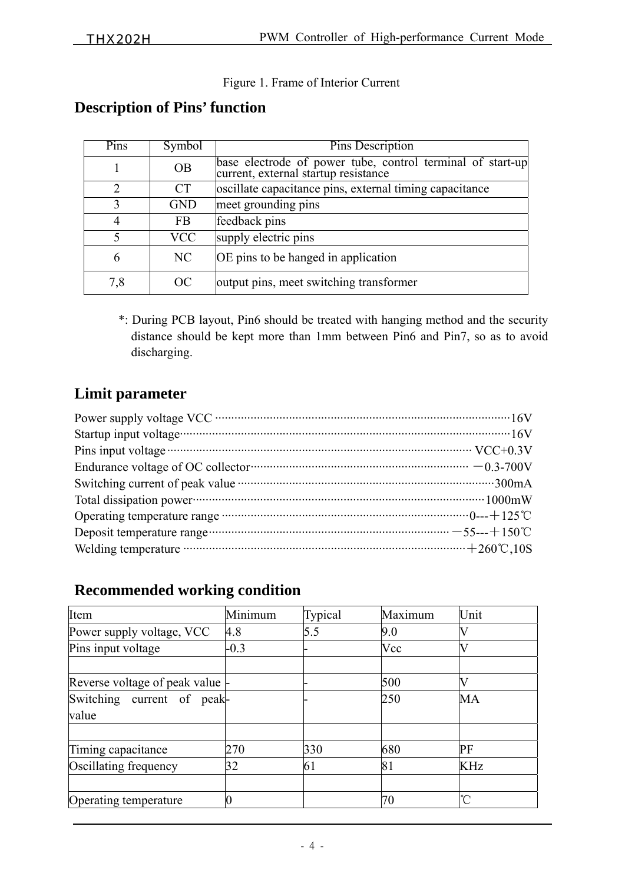#### Figure 1. Frame of Interior Current

## **Description of Pins' function**

| Pins          | Symbol     | Pins Description                                                                                   |  |  |  |
|---------------|------------|----------------------------------------------------------------------------------------------------|--|--|--|
|               | <b>OB</b>  | base electrode of power tube, control terminal of start-up<br>current, external startup resistance |  |  |  |
| $\mathcal{D}$ | <b>CT</b>  | oscillate capacitance pins, external timing capacitance                                            |  |  |  |
|               | <b>GND</b> | meet grounding pins                                                                                |  |  |  |
|               | <b>FB</b>  | feedback pins                                                                                      |  |  |  |
| $\leq$        | <b>VCC</b> | supply electric pins                                                                               |  |  |  |
| 6             | NC         | OE pins to be hanged in application                                                                |  |  |  |
| 7,8           | OC         | output pins, meet switching transformer                                                            |  |  |  |

 \*: During PCB layout, Pin6 should be treated with hanging method and the security distance should be kept more than 1mm between Pin6 and Pin7, so as to avoid discharging.

## **Limit parameter**

| Endurance voltage of OC collector $\cdots$ $-0.3-700V$                                                                                                             |  |
|--------------------------------------------------------------------------------------------------------------------------------------------------------------------|--|
|                                                                                                                                                                    |  |
|                                                                                                                                                                    |  |
| Operating temperature range $\cdots$ $\cdots$ $\cdots$ $\cdots$ $\cdots$ $\cdots$ $\cdots$ $\cdots$ $\cdots$ $\cdots$ $\cdots$ $\cdots$ $\cdots$ $\cdots$ $\cdots$ |  |
| Deposit temperature range $\cdots$ $-55-+150^{\circ}\text{C}$                                                                                                      |  |
| Welding temperature $\cdots$ $+260^{\circ}$ C, 10S                                                                                                                 |  |

## **Recommended working condition**

| Item                             | Minimum | Typical | Maximum | Unit       |
|----------------------------------|---------|---------|---------|------------|
| Power supply voltage, VCC        | 4.8     | 5.5     | 9.0     |            |
| Pins input voltage               | $-0.3$  |         | Vcc     |            |
|                                  |         |         |         |            |
| Reverse voltage of peak value  - |         |         | 500     |            |
| Switching current of peak-       |         |         | 250     | MA         |
| value                            |         |         |         |            |
| Timing capacitance               | 270     | 330     | 680     | PF         |
| Oscillating frequency            | 32      | 61      | 81      | KHz        |
|                                  |         |         |         |            |
| Operating temperature            |         |         | $70 \,$ | $^{\circ}$ |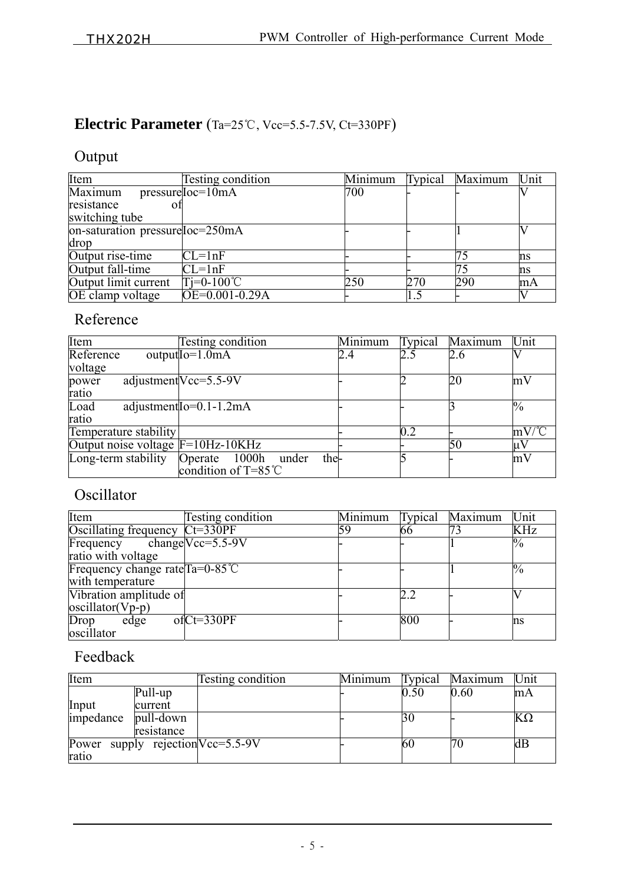# **Electric Parameter** (Ta=25℃, Vcc=5.5-7.5V, Ct=330PF)

# Output

| Item                                    | Testing condition   | Minimum | Typical | Maximum | Unit |
|-----------------------------------------|---------------------|---------|---------|---------|------|
| Maximum                                 | $presureIoc=10mA$   | 700     |         |         |      |
| resistance                              |                     |         |         |         |      |
| switching tube                          |                     |         |         |         |      |
| $on$ -saturation pressure $Ioc = 250mA$ |                     |         |         |         |      |
| drop                                    |                     |         |         |         |      |
| Output rise-time                        | $CL=1nF$            |         |         | 75      | ns   |
| Output fall-time                        | $CL=1nF$            |         |         |         | ns   |
| Output limit current                    | $Ti=0-100^{\circ}C$ | 250     | 270     | 290     | mA   |
| OE clamp voltage                        | $OE=0.001-0.29A$    |         |         |         |      |

# Reference

| Item                                | <b>Testing condition</b>          | Minimum | Typical | Maximum | Unit              |
|-------------------------------------|-----------------------------------|---------|---------|---------|-------------------|
| Reference                           | $outputIO=1.0mA$                  | 2.4     | 2.5     | 2.6     |                   |
| voltage                             |                                   |         |         |         |                   |
| power                               | adjustment $Vcc = 5.5 - 9V$       |         |         | 20      | mV                |
| ratio                               |                                   |         |         |         |                   |
| Load                                | adjustment $I_0 = 0.1 - 1.2$ mA   |         |         |         | $\frac{0}{0}$     |
| ratio                               |                                   |         |         |         |                   |
| Temperature stability               |                                   |         | 0.2     |         | $mV/\overline{C}$ |
| Output noise voltage $F=10Hz-10KHz$ |                                   |         |         | 50      | µ١                |
| Long-term stability                 | the-<br>1000h<br>Operate<br>under |         |         |         | mV                |
|                                     | condition of $T = 85^{\circ}$ C   |         |         |         |                   |

# Oscillator

| Item                                     | Testing condition              | Minimum | <b>Typical</b> | Maximum | Unit            |
|------------------------------------------|--------------------------------|---------|----------------|---------|-----------------|
| Oscillating frequency                    | $Ct=330PF$                     | 159     | 66             |         | <b>KHz</b>      |
| Frequency                                | changeVcc= $5.\overline{5.9V}$ |         |                |         | $\overline{\%}$ |
| ratio with voltage                       |                                |         |                |         |                 |
| Frequency change rate $Ta=0-85^{\circ}C$ |                                |         |                |         | $\%$            |
| with temperature                         |                                |         |                |         |                 |
| Vibration amplitude of                   |                                |         | 2.2            |         |                 |
| $oscillator(Vp-p)$                       |                                |         |                |         |                 |
| Drop<br>edge                             | $ofCt=330PF$                   |         | 800            |         | 'ns             |
| oscillator                               |                                |         |                |         |                 |

# Feedback

| Item                              |            | Testing condition | Minimum | lypical | Maximum | Unit      |
|-----------------------------------|------------|-------------------|---------|---------|---------|-----------|
|                                   | Pull-up    |                   |         | 0.50    | 0.60    | mA        |
| Input                             | current    |                   |         |         |         |           |
| impedance                         | pull-down  |                   |         | 30      |         | $K\Omega$ |
|                                   | resistance |                   |         |         |         |           |
| Power supply rejection Vcc=5.5-9V |            |                   |         | 60      |         | dВ        |
| ratio                             |            |                   |         |         |         |           |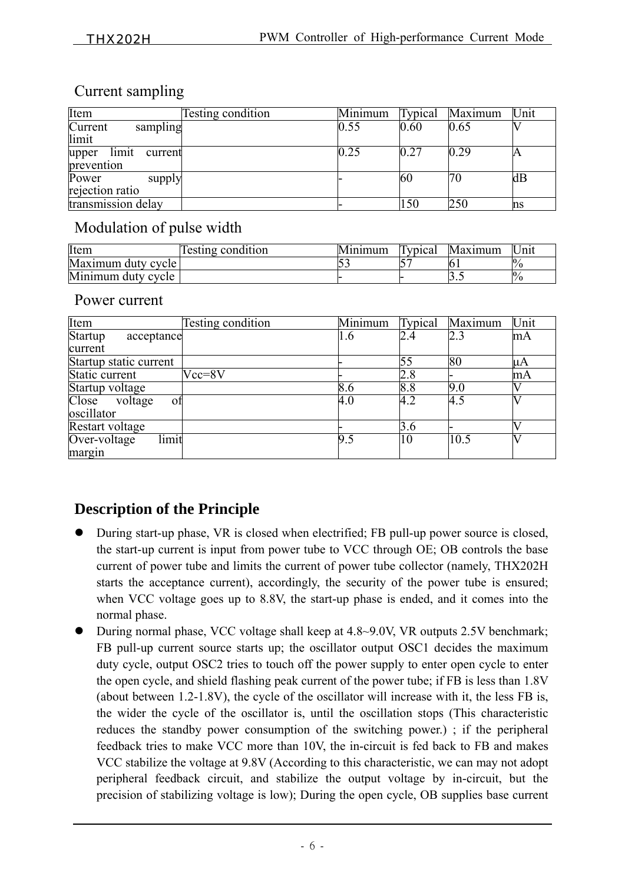## Current sampling

| Item                                    | Testing condition | Minimum | Typical | Maximum | Unit |
|-----------------------------------------|-------------------|---------|---------|---------|------|
| Current<br>sampling<br>limit            |                   | 0.55    | 0.60    | 0.65    |      |
| limit<br>upper<br>current<br>prevention |                   | 0.25    | 0.27    | 0.29    | A    |
| Power<br>supply<br>rejection ratio      |                   |         | 60      | 70      | dВ   |
| transmission delay                      |                   |         | 150     | 250     | ms   |

## Modulation of pulse width

| Item               | testing condition | Minimum | Typical | Maximum | $\ln$ |
|--------------------|-------------------|---------|---------|---------|-------|
| Maximum duty cycle |                   |         |         |         |       |
| Minimum duty cycle |                   |         |         | ັ້      |       |

#### Power current

| Item                                      | <b>Testing condition</b> | Minimum | Typical | Maximum | Unit |
|-------------------------------------------|--------------------------|---------|---------|---------|------|
| Startup<br>acceptance                     |                          | 1.6     | 2.4     | 2.3     | mA   |
| current                                   |                          |         |         |         |      |
| Startup static current                    |                          |         | 55      | 80      | μA   |
| Static current                            | $Vcc = 8V$               |         | 2.8     |         | mA   |
| Startup voltage                           |                          | 8.6     | 8.8     | 9.0     |      |
| Close<br>voltage<br>οf                    |                          | 4.0     | 4.2     | 4.5     |      |
| oscillator                                |                          |         |         |         |      |
| Restart voltage                           |                          |         | 3.6     |         |      |
| limit<br>$\overline{\text{Over-voltage}}$ |                          | 9.5     | 10      | 10.5    |      |
| margin                                    |                          |         |         |         |      |

## **Description of the Principle**

- During start-up phase, VR is closed when electrified; FB pull-up power source is closed, the start-up current is input from power tube to VCC through OE; OB controls the base current of power tube and limits the current of power tube collector (namely, THX202H starts the acceptance current), accordingly, the security of the power tube is ensured; when VCC voltage goes up to 8.8V, the start-up phase is ended, and it comes into the normal phase.
- During normal phase, VCC voltage shall keep at 4.8~9.0V, VR outputs 2.5V benchmark; FB pull-up current source starts up; the oscillator output OSC1 decides the maximum duty cycle, output OSC2 tries to touch off the power supply to enter open cycle to enter the open cycle, and shield flashing peak current of the power tube; if FB is less than 1.8V (about between 1.2-1.8V), the cycle of the oscillator will increase with it, the less FB is, the wider the cycle of the oscillator is, until the oscillation stops (This characteristic reduces the standby power consumption of the switching power.) ; if the peripheral feedback tries to make VCC more than 10V, the in-circuit is fed back to FB and makes VCC stabilize the voltage at 9.8V (According to this characteristic, we can may not adopt peripheral feedback circuit, and stabilize the output voltage by in-circuit, but the precision of stabilizing voltage is low); During the open cycle, OB supplies base current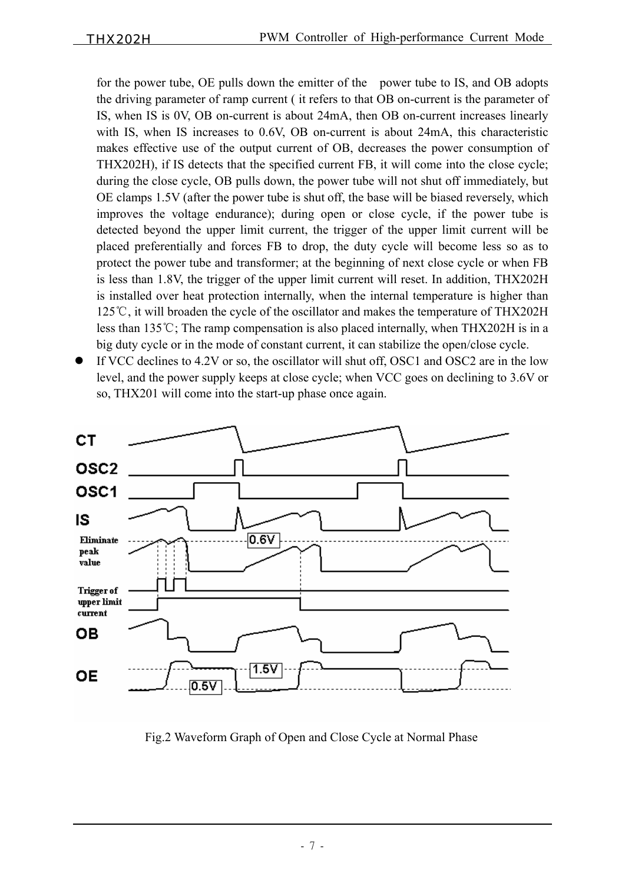for the power tube, OE pulls down the emitter of the power tube to IS, and OB adopts the driving parameter of ramp current ( it refers to that OB on-current is the parameter of IS, when IS is 0V, OB on-current is about 24mA, then OB on-current increases linearly with IS, when IS increases to 0.6V, OB on-current is about 24mA, this characteristic makes effective use of the output current of OB, decreases the power consumption of THX202H), if IS detects that the specified current FB, it will come into the close cycle; during the close cycle, OB pulls down, the power tube will not shut off immediately, but OE clamps 1.5V (after the power tube is shut off, the base will be biased reversely, which improves the voltage endurance); during open or close cycle, if the power tube is detected beyond the upper limit current, the trigger of the upper limit current will be placed preferentially and forces FB to drop, the duty cycle will become less so as to protect the power tube and transformer; at the beginning of next close cycle or when FB is less than 1.8V, the trigger of the upper limit current will reset. In addition, THX202H is installed over heat protection internally, when the internal temperature is higher than 125℃, it will broaden the cycle of the oscillator and makes the temperature of THX202H less than 135℃; The ramp compensation is also placed internally, when THX202H is in a big duty cycle or in the mode of constant current, it can stabilize the open/close cycle.

If VCC declines to 4.2V or so, the oscillator will shut off, OSC1 and OSC2 are in the low level, and the power supply keeps at close cycle; when VCC goes on declining to 3.6V or so, THX201 will come into the start-up phase once again.



Fig.2 Waveform Graph of Open and Close Cycle at Normal Phase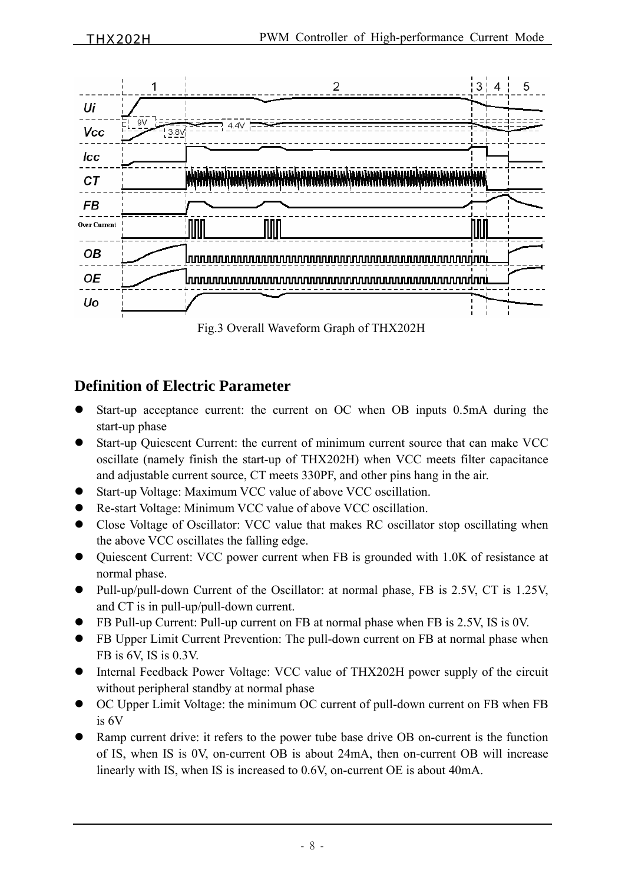

## **Definition of Electric Parameter**

- Start-up acceptance current: the current on OC when OB inputs 0.5mA during the start-up phase
- Start-up Ouiescent Current: the current of minimum current source that can make VCC oscillate (namely finish the start-up of THX202H) when VCC meets filter capacitance and adjustable current source, CT meets 330PF, and other pins hang in the air.
- Start-up Voltage: Maximum VCC value of above VCC oscillation.
- Re-start Voltage: Minimum VCC value of above VCC oscillation.
- Close Voltage of Oscillator: VCC value that makes RC oscillator stop oscillating when the above VCC oscillates the falling edge.
- Ouiescent Current: VCC power current when FB is grounded with 1.0K of resistance at normal phase.
- Pull-up/pull-down Current of the Oscillator: at normal phase, FB is 2.5V, CT is 1.25V, and CT is in pull-up/pull-down current.
- FB Pull-up Current: Pull-up current on FB at normal phase when FB is 2.5V, IS is 0V.
- FB Upper Limit Current Prevention: The pull-down current on FB at normal phase when FB is 6V, IS is 0.3V.
- Internal Feedback Power Voltage: VCC value of THX202H power supply of the circuit without peripheral standby at normal phase
- z OC Upper Limit Voltage: the minimum OC current of pull-down current on FB when FB is 6V
- Ramp current drive: it refers to the power tube base drive OB on-current is the function of IS, when IS is 0V, on-current OB is about 24mA, then on-current OB will increase linearly with IS, when IS is increased to 0.6V, on-current OE is about 40mA.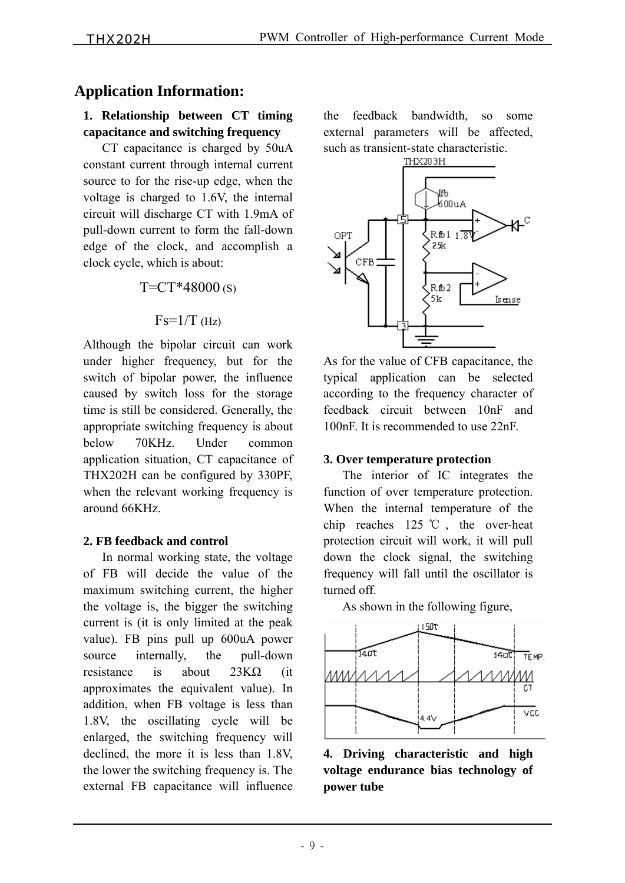## **Application Information:**

#### **1. Relationship between CT timing capacitance and switching frequency**

 CT capacitance is charged by 50uA constant current through internal current source to for the rise-up edge, when the voltage is charged to 1.6V, the internal circuit will discharge CT with 1.9mA of pull-down current to form the fall-down edge of the clock, and accomplish a clock cycle, which is about:

 $T=CT*48000(s)$ 

$$
Fs=1/T \; (Hz)
$$

Although the bipolar circuit can work under higher frequency, but for the switch of bipolar power, the influence caused by switch loss for the storage time is still be considered. Generally, the appropriate switching frequency is about below 70KHz. Under common application situation, CT capacitance of THX202H can be configured by 330PF, when the relevant working frequency is around 66KHz.

#### **2. FB feedback and control**

 In normal working state, the voltage of FB will decide the value of the maximum switching current, the higher the voltage is, the bigger the switching current is (it is only limited at the peak value). FB pins pull up 600uA power source internally, the pull-down resistance is about 23KΩ (it approximates the equivalent value). In addition, when FB voltage is less than 1.8V, the oscillating cycle will be enlarged, the switching frequency will declined, the more it is less than 1.8V, the lower the switching frequency is. The external FB capacitance will influence the feedback bandwidth, so some external parameters will be affected, such as transient-state characteristic.<br>THX203H



As for the value of CFB capacitance, the typical application can be selected according to the frequency character of feedback circuit between 10nF and 100nF. It is recommended to use 22nF.

#### **3. Over temperature protection**

 The interior of IC integrates the function of over temperature protection. When the internal temperature of the chip reaches 125 ℃ , the over-heat protection circuit will work, it will pull down the clock signal, the switching frequency will fall until the oscillator is turned off.

As shown in the following figure,



**4. Driving characteristic and high voltage endurance bias technology of power tube**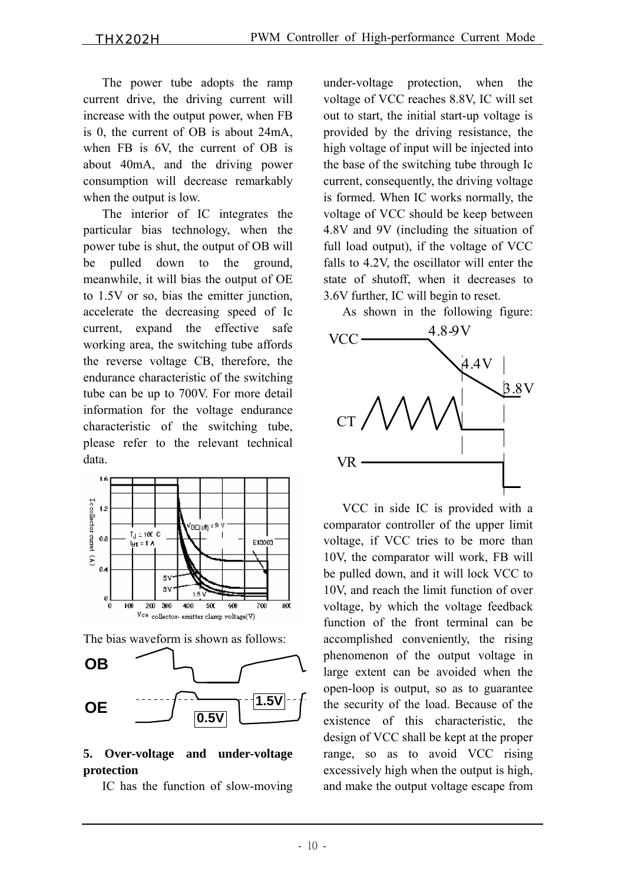The power tube adopts the ramp current drive, the driving current will increase with the output power, when FB is 0, the current of OB is about 24mA, when FB is 6V, the current of OB is about 40mA, and the driving power consumption will decrease remarkably when the output is low.

 The interior of IC integrates the particular bias technology, when the power tube is shut, the output of OB will be pulled down to the ground, meanwhile, it will bias the output of OE to 1.5V or so, bias the emitter junction, accelerate the decreasing speed of Ic current, expand the effective safe working area, the switching tube affords the reverse voltage CB, therefore, the endurance characteristic of the switching tube can be up to 700V. For more detail information for the voltage endurance characteristic of the switching tube, please refer to the relevant technical data.



The bias waveform is shown as follows:



#### **5. Over-voltage and under-voltage protection**

IC has the function of slow-moving

under-voltage protection, when the voltage of VCC reaches 8.8V, IC will set out to start, the initial start-up voltage is provided by the driving resistance, the high voltage of input will be injected into the base of the switching tube through Ic current, consequently, the driving voltage is formed. When IC works normally, the voltage of VCC should be keep between 4.8V and 9V (including the situation of full load output), if the voltage of VCC falls to 4.2V, the oscillator will enter the state of shutoff, when it decreases to 3.6V further, IC will begin to reset.

As shown in the following figure:



 VCC in side IC is provided with a comparator controller of the upper limit voltage, if VCC tries to be more than 10V, the comparator will work, FB will be pulled down, and it will lock VCC to 10V, and reach the limit function of over voltage, by which the voltage feedback function of the front terminal can be accomplished conveniently, the rising phenomenon of the output voltage in large extent can be avoided when the open-loop is output, so as to guarantee the security of the load. Because of the existence of this characteristic, the design of VCC shall be kept at the proper range, so as to avoid VCC rising excessively high when the output is high, and make the output voltage escape from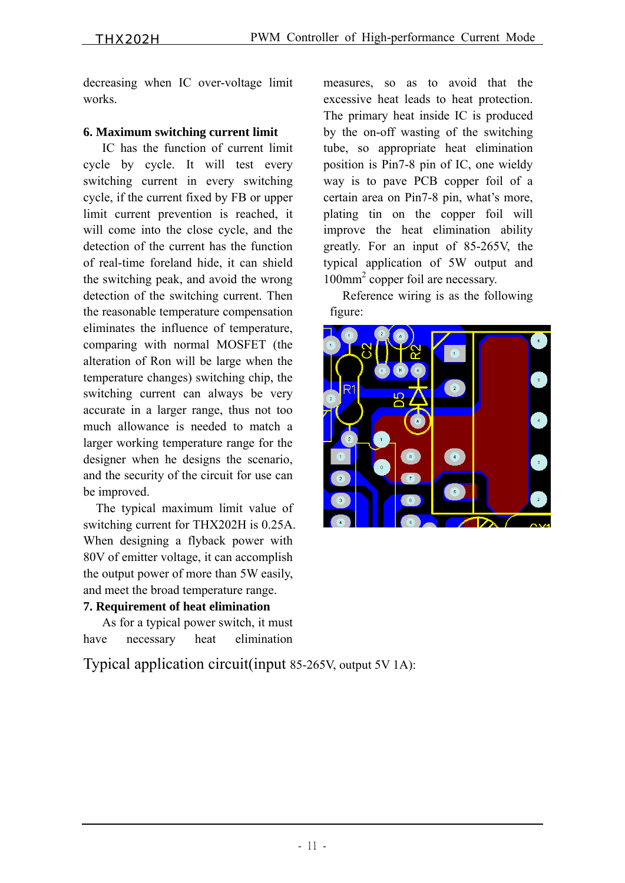decreasing when IC over-voltage limit works.

#### **6. Maximum switching current limit**

 IC has the function of current limit cycle by cycle. It will test every switching current in every switching cycle, if the current fixed by FB or upper limit current prevention is reached, it will come into the close cycle, and the detection of the current has the function of real-time foreland hide, it can shield the switching peak, and avoid the wrong detection of the switching current. Then the reasonable temperature compensation eliminates the influence of temperature, comparing with normal MOSFET (the alteration of Ron will be large when the temperature changes) switching chip, the switching current can always be very accurate in a larger range, thus not too much allowance is needed to match a larger working temperature range for the designer when he designs the scenario, and the security of the circuit for use can be improved.

 The typical maximum limit value of switching current for THX202H is 0.25A. When designing a flyback power with 80V of emitter voltage, it can accomplish the output power of more than 5W easily, and meet the broad temperature range.

#### **7. Requirement of heat elimination**

 As for a typical power switch, it must have necessary heat elimination

measures, so as to avoid that the excessive heat leads to heat protection. The primary heat inside IC is produced by the on-off wasting of the switching tube, so appropriate heat elimination position is Pin7-8 pin of IC, one wieldy way is to pave PCB copper foil of a certain area on Pin7-8 pin, what's more, plating tin on the copper foil will improve the heat elimination ability greatly. For an input of 85-265V, the typical application of 5W output and 100mm2 copper foil are necessary.

 Reference wiring is as the following figure:



Typical application circuit(input 85-265V, output 5V 1A):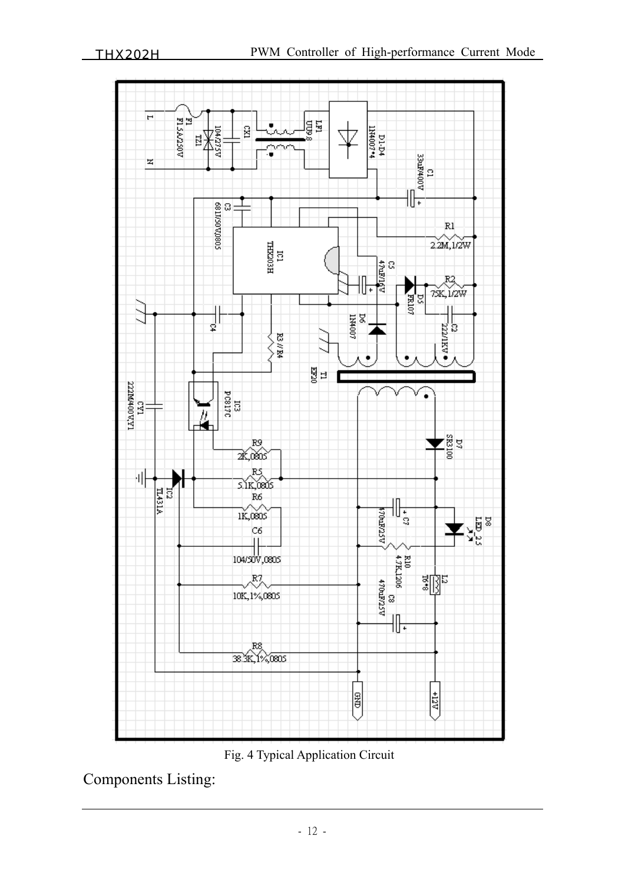

Fig. 4 Typical Application Circuit

Components Listing: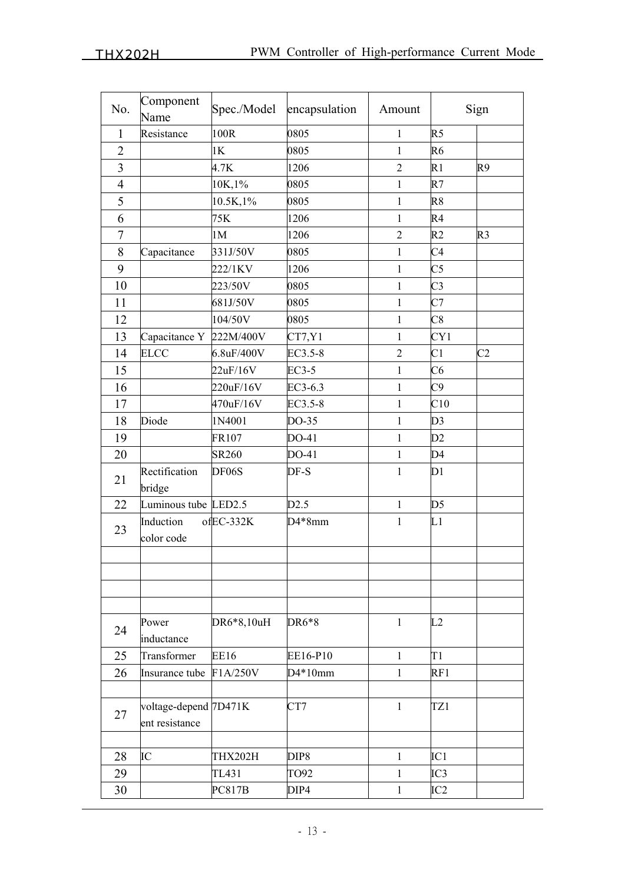| No.                      | Component<br>Name                       | Spec./Model        | encapsulation    | Amount         |                 | Sign           |
|--------------------------|-----------------------------------------|--------------------|------------------|----------------|-----------------|----------------|
| $\mathbf{1}$             | Resistance                              | 100R               | 0805             | $\mathbf{1}$   | R <sub>5</sub>  |                |
| $\overline{2}$           |                                         | 1K                 | 0805             | $\mathbf{1}$   | R <sub>6</sub>  |                |
| $\overline{3}$           |                                         | 4.7K               | 1206             | $\sqrt{2}$     | R1              | R9             |
| $\overline{\mathcal{A}}$ |                                         | 10K,1%             | 0805             | $\mathbf{1}$   | R7              |                |
| 5                        |                                         | 10.5K, 1%          | 0805             | $\mathbf{1}$   | R8              |                |
| 6                        |                                         | 75K                | 1206             | 1              | R <sub>4</sub>  |                |
| $\overline{7}$           |                                         | 1M                 | 1206             | $\overline{c}$ | R <sub>2</sub>  | R <sub>3</sub> |
| 8                        | Capacitance                             | 331J/50V           | 0805             | 1              | C <sub>4</sub>  |                |
| 9                        |                                         | 222/1KV            | 1206             | $\mathbf{1}$   | C <sub>5</sub>  |                |
| 10                       |                                         | 223/50V            | 0805             | $\mathbf{1}$   | $\overline{C}3$ |                |
| 11                       |                                         | 681J/50V           | 0805             | $\mathbf{1}$   | C7              |                |
| 12                       |                                         | 104/50V            | 0805             | $\mathbf{1}$   | C8              |                |
| 13                       | Capacitance Y                           | 222M/400V          | CT7, Y1          | $\mathbf{1}$   | CY1             |                |
| 14                       | <b>ELCC</b>                             | 6.8uF/400V         | EC3.5-8          | $\overline{2}$ | C <sub>1</sub>  | C <sub>2</sub> |
| 15                       |                                         | 22uF/16V           | EC3-5            | $\mathbf{1}$   | C6              |                |
| 16                       |                                         | 220uF/16V          | EC3-6.3          | $\mathbf{1}$   | C9              |                |
| 17                       |                                         | 470uF/16V          | EC3.5-8          | $\mathbf{1}$   | C10             |                |
| 18                       | Diode                                   | 1N4001             | DO-35            | $\mathbf{1}$   | D <sub>3</sub>  |                |
| 19                       |                                         | FR107              | DO-41            | $\mathbf{1}$   | D2              |                |
| 20                       |                                         | <b>SR260</b>       | DO-41            | $\mathbf{1}$   | D4              |                |
| 21                       | Rectification<br>bridge                 | DF <sub>06</sub> S | DF-S             | $\mathbf{1}$   | D1              |                |
| 22                       | Luminous tube LED2.5                    |                    | D2.5             | $\mathbf{1}$   | D <sub>5</sub>  |                |
| 23                       | Induction<br>color code                 | ofEC-332K          | D4*8mm           | $\mathbf{1}$   | L1              |                |
|                          |                                         |                    |                  |                |                 |                |
|                          |                                         |                    |                  |                |                 |                |
|                          |                                         |                    |                  |                |                 |                |
|                          |                                         |                    |                  |                |                 |                |
| 24                       | Power                                   | DR6*8,10uH         | DR6*8            | $\mathbf{1}$   | L2              |                |
|                          | inductance                              |                    |                  |                |                 |                |
| 25                       | Transformer                             | <b>EE16</b>        | EE16-P10         | $\mathbf{1}$   | T1              |                |
| 26                       | Insurance tube                          | F1A/250V           | $D4*10mm$        | $\mathbf{1}$   | RF1             |                |
|                          |                                         |                    |                  |                |                 |                |
| 27                       | voltage-depend 7D471K<br>ent resistance |                    | CT7              | $\mathbf{1}$   | TZ1             |                |
|                          |                                         |                    |                  |                |                 |                |
| 28                       | IC                                      | THX202H            | DIP <sub>8</sub> | $\mathbf{1}$   | IC1             |                |
| 29                       |                                         | TL431              | TO92             | $\mathbf{1}$   | IC3             |                |
| 30                       |                                         | <b>PC817B</b>      | DIP4             | $\mathbf{1}$   | IC2             |                |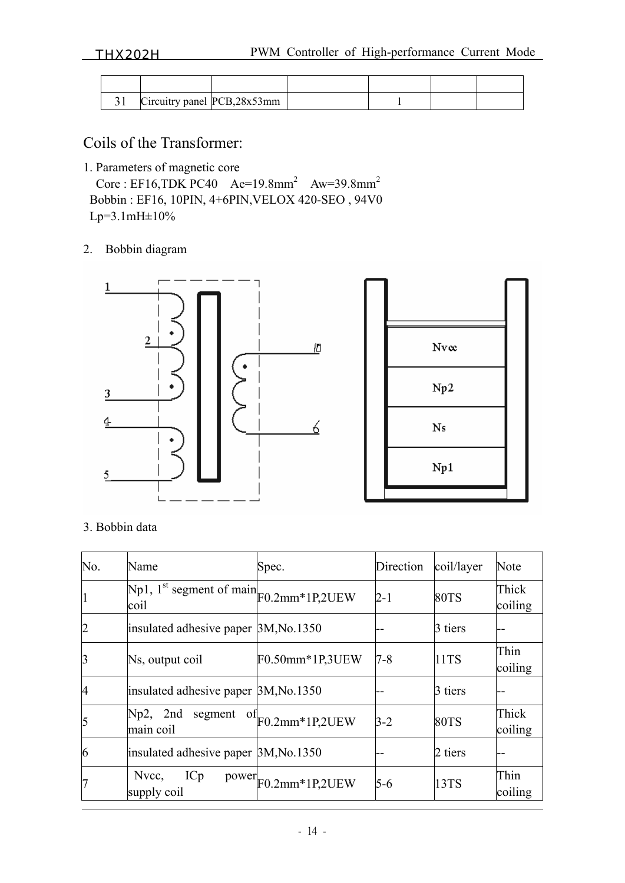THX202H PWM Controller of High-performance Current Mode

| JI | Circuitry panel PCB, 28x53mm |  |  |
|----|------------------------------|--|--|

Coils of the Transformer:

1. Parameters of magnetic core

Core : EF16,TDK PC40  $Ae=19.8mm^2$   $Aw=39.8mm^2$  Bobbin : EF16, 10PIN, 4+6PIN,VELOX 420-SEO , 94V0 Lp=3.1mH±10%

#### 2. Bobbin diagram



#### 3. Bobbin data

| No.            | Name                                                    | Spec.           | Direction | coil/layer  | Note             |
|----------------|---------------------------------------------------------|-----------------|-----------|-------------|------------------|
|                | Np1, $1^{st}$ segment of main $F0.2$ mm*1P,2UEW<br>coil |                 | $2 - 1$   | <b>80TS</b> | Thick<br>coiling |
| $\overline{2}$ | insulated adhesive paper 3M, No. 1350                   |                 |           | 3 tiers     |                  |
| 3              | Ns, output coil                                         | F0.50mm*1P,3UEW | $7 - 8$   | 11TS        | Thin<br>coiling  |
| 4              | insulated adhesive paper 3M, No.1350                    |                 |           | 3 tiers     |                  |
| 5              | 2nd<br>$Np2$ ,<br>segment<br>OI.<br>main coil           | F0.2mm*1P,2UEW  | $3-2$     | <b>80TS</b> | Thick<br>coiling |
| 6              | insulated adhesive paper 3M, No. 1350                   |                 |           | 2 tiers     |                  |
| 7              | Nvcc,<br>ICp<br>power<br>supply coil                    | F0.2mm*1P,2UEW  | $5-6$     | 13TS        | Thin<br>coiling  |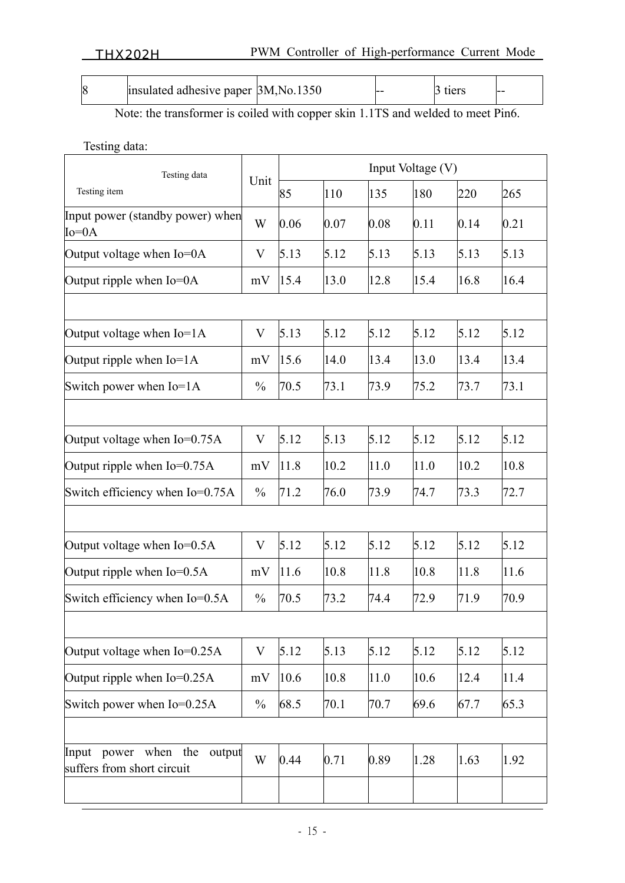|  | positional and analysis of $3M$ , No. 1350 |  | -- |  | -- |
|--|--------------------------------------------|--|----|--|----|
|--|--------------------------------------------|--|----|--|----|

Note: the transformer is coiled with copper skin 1.1TS and welded to meet Pin6.

Testing data:

| Testing data                                                       | Unit          | Input Voltage (V) |      |      |      |      |      |
|--------------------------------------------------------------------|---------------|-------------------|------|------|------|------|------|
| Testing item                                                       |               | 85                | 110  | 135  | 180  | 220  | 265  |
| Input power (standby power) when<br>$Io=0A$                        | W             | 0.06              | 0.07 | 0.08 | 0.11 | 0.14 | 0.21 |
| Output voltage when Io=0A                                          | V             | 5.13              | 5.12 | 5.13 | 5.13 | 5.13 | 5.13 |
| Output ripple when Io=0A                                           | mV            | 15.4              | 13.0 | 12.8 | 15.4 | 16.8 | 16.4 |
|                                                                    |               |                   |      |      |      |      |      |
| Output voltage when Io=1A                                          | V             | 5.13              | 5.12 | 5.12 | 5.12 | 5.12 | 5.12 |
| Output ripple when $Io=1A$                                         | mV            | 15.6              | 14.0 | 13.4 | 13.0 | 13.4 | 13.4 |
| Switch power when Io=1A                                            | $\frac{0}{0}$ | 70.5              | 73.1 | 73.9 | 75.2 | 73.7 | 73.1 |
|                                                                    |               |                   |      |      |      |      |      |
| Output voltage when $Io=0.75A$                                     | V             | 5.12              | 5.13 | 5.12 | 5.12 | 5.12 | 5.12 |
| Output ripple when $Io=0.75A$                                      | mV            | 11.8              | 10.2 | 11.0 | 11.0 | 10.2 | 10.8 |
| Switch efficiency when Io=0.75A                                    | $\frac{0}{0}$ | 71.2              | 76.0 | 73.9 | 74.7 | 73.3 | 72.7 |
|                                                                    |               |                   |      |      |      |      |      |
| Output voltage when Io=0.5A                                        | V             | 5.12              | 5.12 | 5.12 | 5.12 | 5.12 | 5.12 |
| Output ripple when $Io=0.5A$                                       | mV            | 11.6              | 10.8 | 11.8 | 10.8 | 11.8 | 11.6 |
| Switch efficiency when Io=0.5A                                     | $\frac{0}{0}$ | 70.5              | 73.2 | 74.4 | 72.9 | 71.9 | 70.9 |
|                                                                    |               |                   |      |      |      |      |      |
| Output voltage when Io=0.25A                                       | V             | 5.12              | 5.13 | 5.12 | 5.12 | 5.12 | 5.12 |
| Output ripple when $Io=0.25A$                                      | mV            | 10.6              | 10.8 | 11.0 | 10.6 | 12.4 | 11.4 |
| Switch power when Io=0.25A                                         | $\frac{0}{0}$ | 68.5              | 70.1 | 70.7 | 69.6 | 67.7 | 65.3 |
|                                                                    |               |                   |      |      |      |      |      |
| power when<br>the<br>Input<br>output<br>suffers from short circuit | W             | 0.44              | 0.71 | 0.89 | 1.28 | 1.63 | 1.92 |
|                                                                    |               |                   |      |      |      |      |      |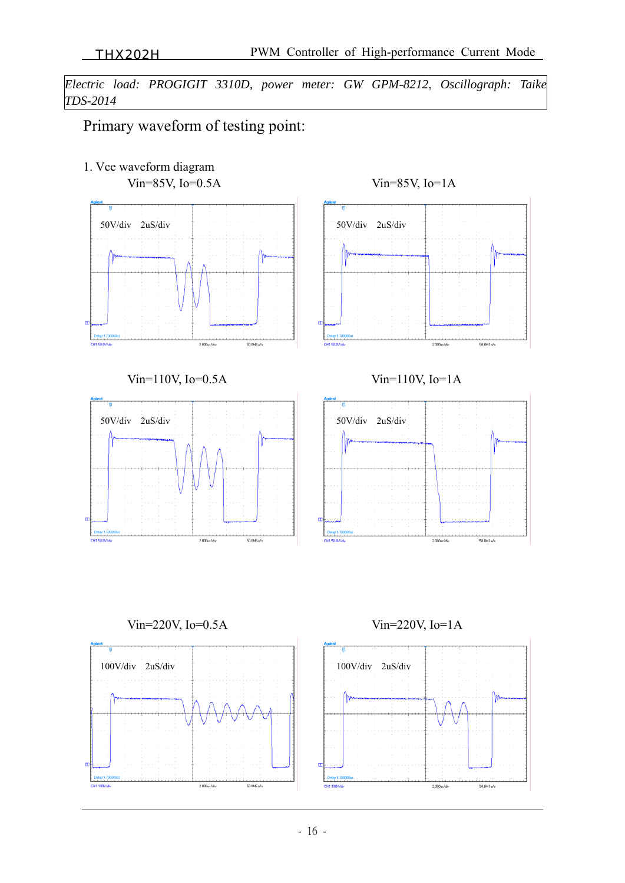*Electric load: PROGIGIT 3310D, power meter: GW GPM-8212*, *Oscillograph: Taike TDS-2014* 

# Primary waveform of testing point:

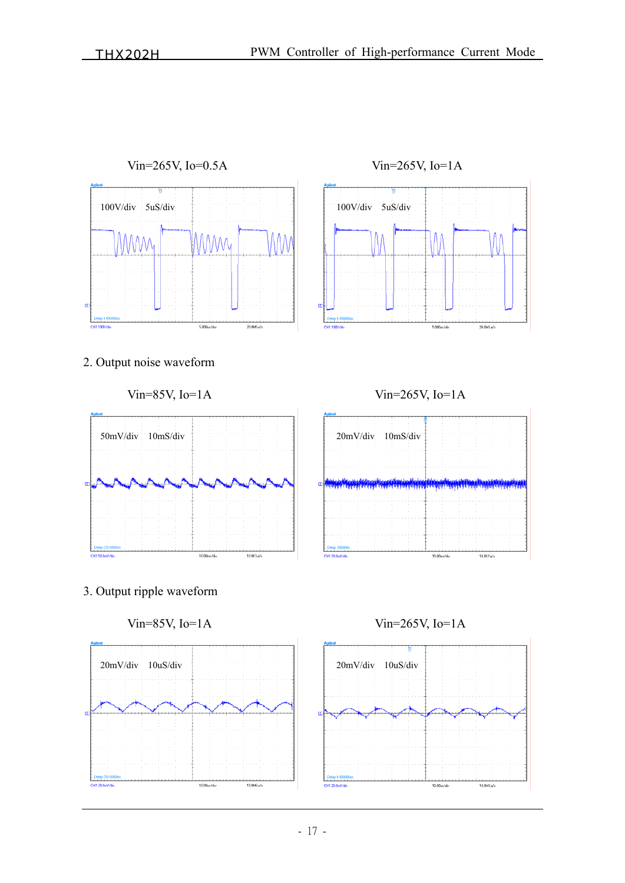

 $1000 + 66$ 

 $100MSa/s$ 

 $\begin{array}{c} \hline \end{array}$ 

 $100MSa/s$ 

 $10.00<sub>n</sub>/d<sub>n</sub>$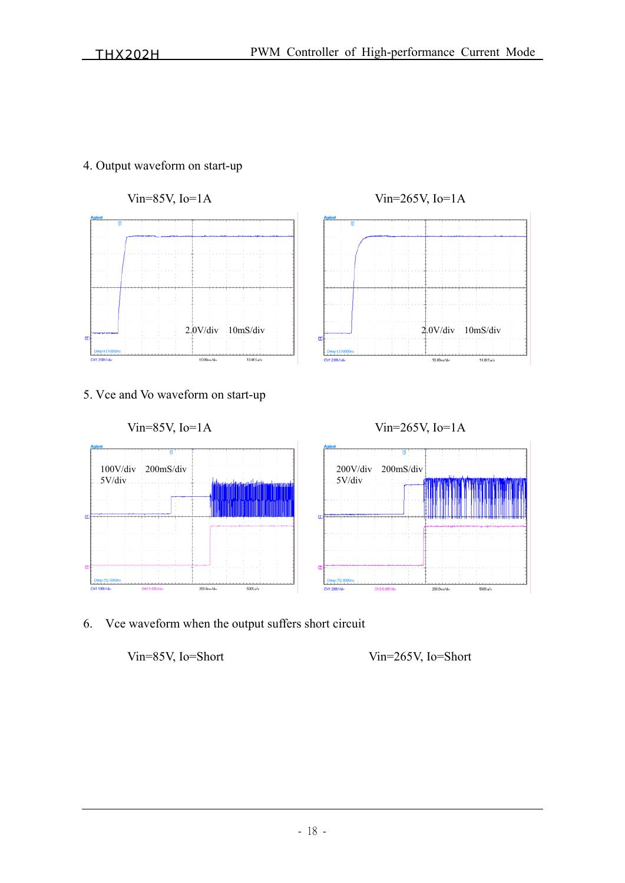



6. Vce waveform when the output suffers short circuit

### Vin=85V, Io=Short Vin=265V, Io=Short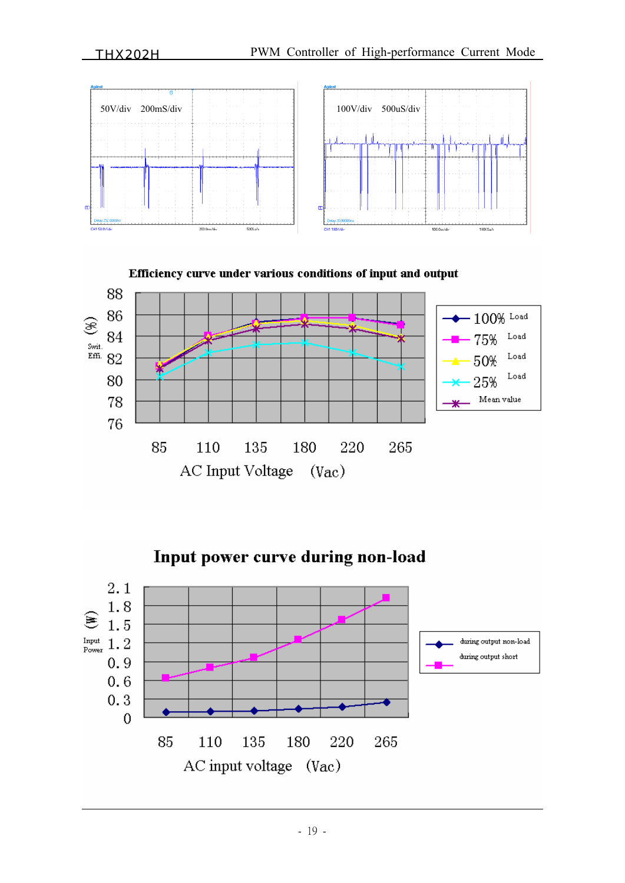

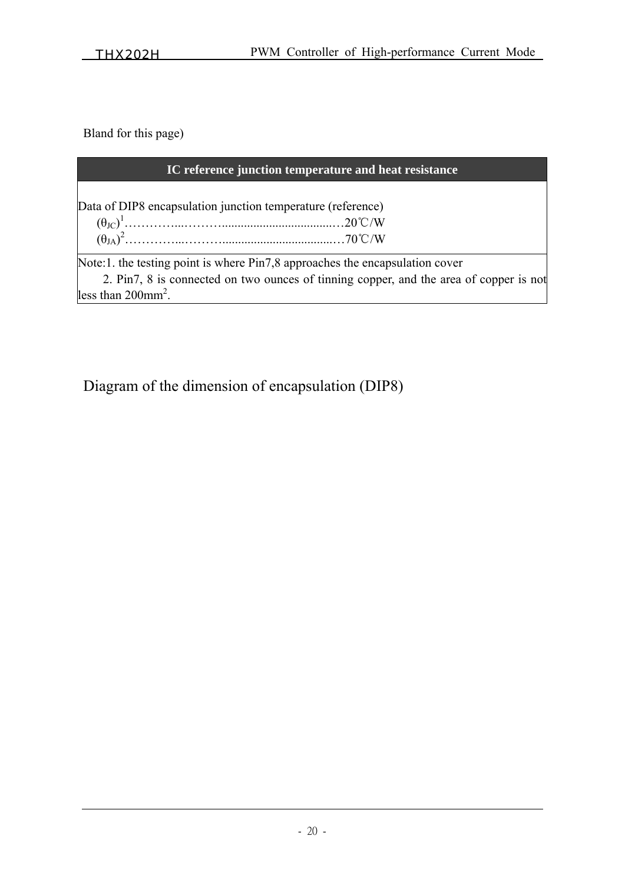Bland for this page)

| IC reference junction temperature and heat resistance                                  |  |  |  |  |  |
|----------------------------------------------------------------------------------------|--|--|--|--|--|
| Data of DIP8 encapsulation junction temperature (reference)                            |  |  |  |  |  |
|                                                                                        |  |  |  |  |  |
|                                                                                        |  |  |  |  |  |
|                                                                                        |  |  |  |  |  |
| Note:1. the testing point is where Pin7,8 approaches the encapsulation cover           |  |  |  |  |  |
| 2. Pin7, 8 is connected on two ounces of tinning copper, and the area of copper is not |  |  |  |  |  |
| less than $200$ mm <sup>2</sup> .                                                      |  |  |  |  |  |

Diagram of the dimension of encapsulation (DIP8)